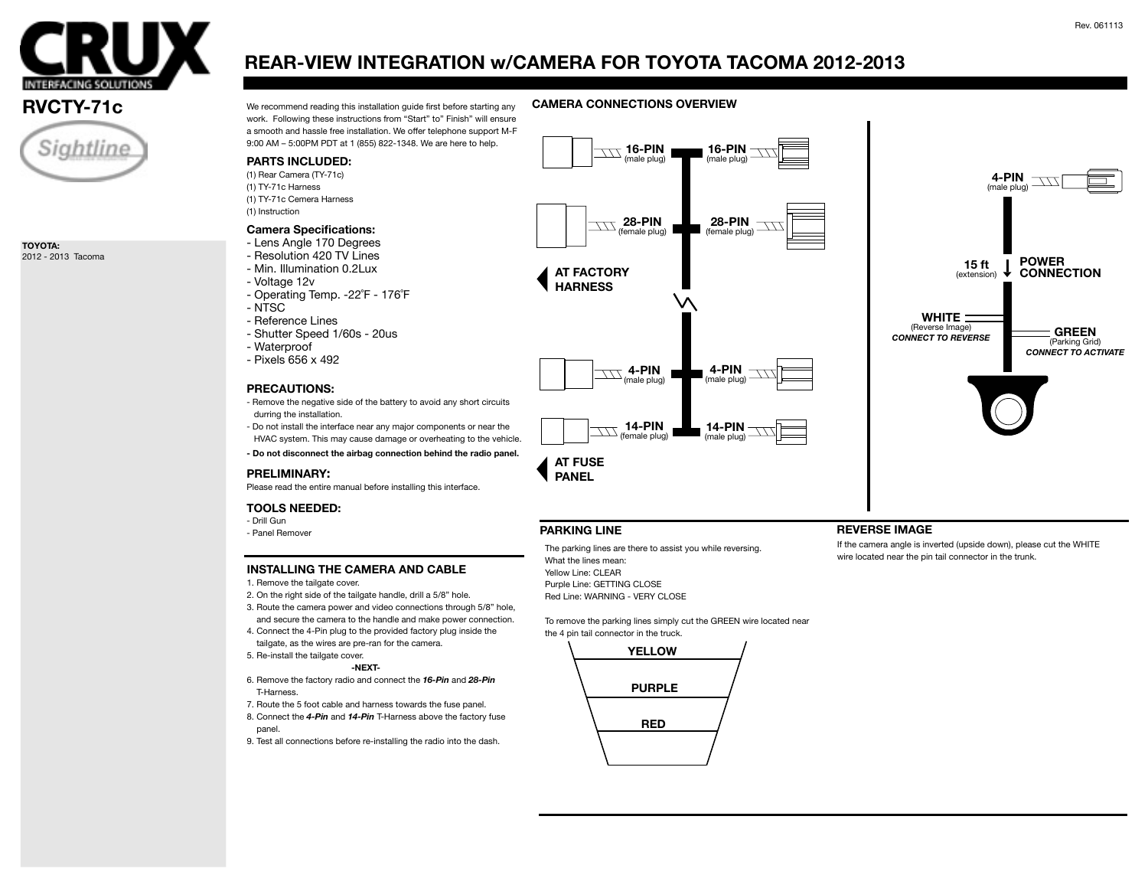



**TOYOTA:** 2012 - 2013 Tacoma

# **REAR-VIEW INTEGRATION w/CAMERA FOR TOYOTA TACOMA 2012-2013**

**RVCTY-71c** We recommend reading this installation guide first before starting any **CAMERA CONNECTIONS OVERVIEW** work. Following these instructions from "Start" to" Finish" will ensure a smooth and hassle free installation. We offer telephone support M-F 9:00 AM – 5:00PM PDT at 1 (855) 822-1348. We are here to help.



- Panel Remover

- Drill Gun

- NTSC

## **INSTALLING THE CAMERA AND CABLE**

- 1. Remove the tailgate cover.
- 2. On the right side of the tailgate handle, drill a 5/8" hole.
- 3. Route the camera power and video connections through 5/8" hole, and secure the camera to the handle and make power connection.
- 4. Connect the 4-Pin plug to the provided factory plug inside the tailgate, as the wires are pre-ran for the camera.
- 5. Re-install the tailgate cover.

### **-NEXT-**

- 6. Remove the factory radio and connect the *16-Pin* and *28-Pin* T-Harness.
- 7. Route the 5 foot cable and harness towards the fuse panel.
- 8. Connect the *4-Pin* and *14-Pin* T-Harness above the factory fuse panel.
- 9. Test all connections before re-installing the radio into the dash.

The parking lines are there to assist you while reversing. What the lines mean: Yellow Line: CLEAR Purple Line: GETTING CLOSE Red Line: WARNING - VERY CLOSE

To remove the parking lines simply cut the GREEN wire located near the 4 pin tail connector in the truck.



If the camera angle is inverted (upside down), please cut the WHITE wire located near the pin tail connector in the trunk.